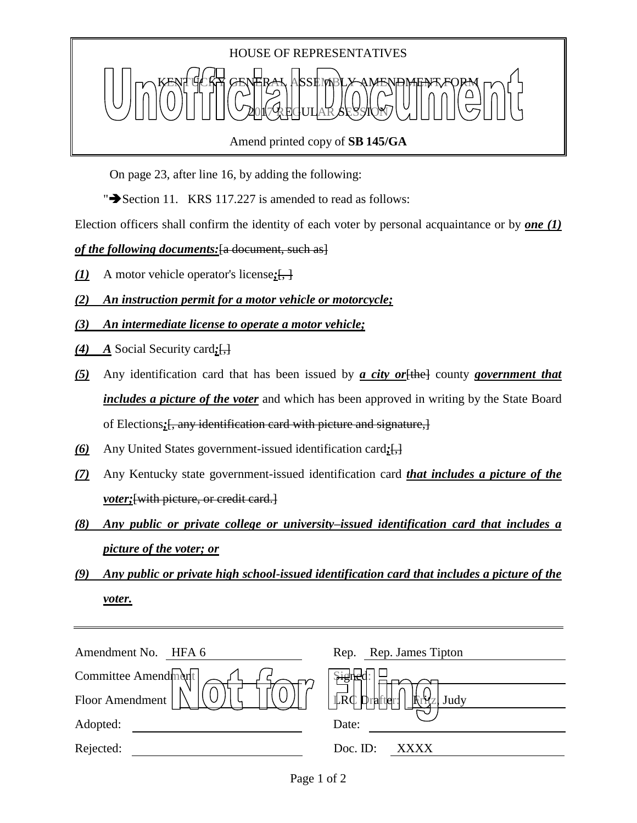

On page 23, after line 16, by adding the following:

" $\blacktriangleright$  Section 11. KRS 117.227 is amended to read as follows:

Election officers shall confirm the identity of each voter by personal acquaintance or by *one (1)* 

*of the following documents:*[a document, such as]

- $(1)$  A motor vehicle operator's license; $\left\{\frac{1}{n}\right\}$
- *(2) An instruction permit for a motor vehicle or motorcycle;*
- *(3) An intermediate license to operate a motor vehicle;*
- *(4) A* Social Security card*;*[,]
- *(5)* Any identification card that has been issued by *a city or*[the] county *government that includes a picture of the voter* and which has been approved in writing by the State Board of Elections*;*[, any identification card with picture and signature,]
- *(6)* Any United States government-issued identification card*;*[,]
- *(7)* Any Kentucky state government-issued identification card *that includes a picture of the voter*; [with picture, or credit card.]
- *(8) Any public or private college or university–issued identification card that includes a picture of the voter; or*
- *(9) Any public or private high school-issued identification card that includes a picture of the voter.*

| Amendment No.<br>HFA 6 | Rep. James Tipton<br>Rep.                         |
|------------------------|---------------------------------------------------|
| Committee Amendment    |                                                   |
| Floor Amendment        | $\mathbb{L}$ R $\mathbb{C}$<br>' Drafter:<br>Judy |
| Adopted:               | Date:                                             |
| Rejected:              | Doc. ID:<br>xxxx                                  |
|                        |                                                   |